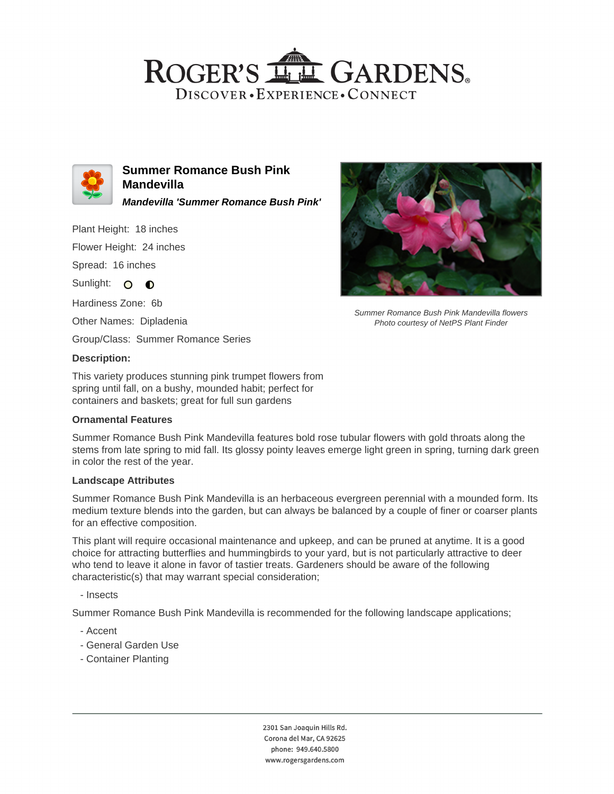# ROGER'S LL GARDENS. DISCOVER · EXPERIENCE · CONNECT



**Summer Romance Bush Pink Mandevilla Mandevilla 'Summer Romance Bush Pink'**

Plant Height: 18 inches

Flower Height: 24 inches

Spread: 16 inches

Sunlight: O **O** 

Hardiness Zone: 6b

Other Names: Dipladenia

Group/Class: Summer Romance Series

### **Description:**

This variety produces stunning pink trumpet flowers from spring until fall, on a bushy, mounded habit; perfect for containers and baskets; great for full sun gardens

#### **Ornamental Features**



Summer Romance Bush Pink Mandevilla flowers Photo courtesy of NetPS Plant Finder

Summer Romance Bush Pink Mandevilla features bold rose tubular flowers with gold throats along the stems from late spring to mid fall. Its glossy pointy leaves emerge light green in spring, turning dark green in color the rest of the year.

#### **Landscape Attributes**

Summer Romance Bush Pink Mandevilla is an herbaceous evergreen perennial with a mounded form. Its medium texture blends into the garden, but can always be balanced by a couple of finer or coarser plants for an effective composition.

This plant will require occasional maintenance and upkeep, and can be pruned at anytime. It is a good choice for attracting butterflies and hummingbirds to your yard, but is not particularly attractive to deer who tend to leave it alone in favor of tastier treats. Gardeners should be aware of the following characteristic(s) that may warrant special consideration;

- Insects

Summer Romance Bush Pink Mandevilla is recommended for the following landscape applications;

- Accent
- General Garden Use
- Container Planting

2301 San Joaquin Hills Rd. Corona del Mar, CA 92625 phone: 949.640.5800 www.rogersgardens.com